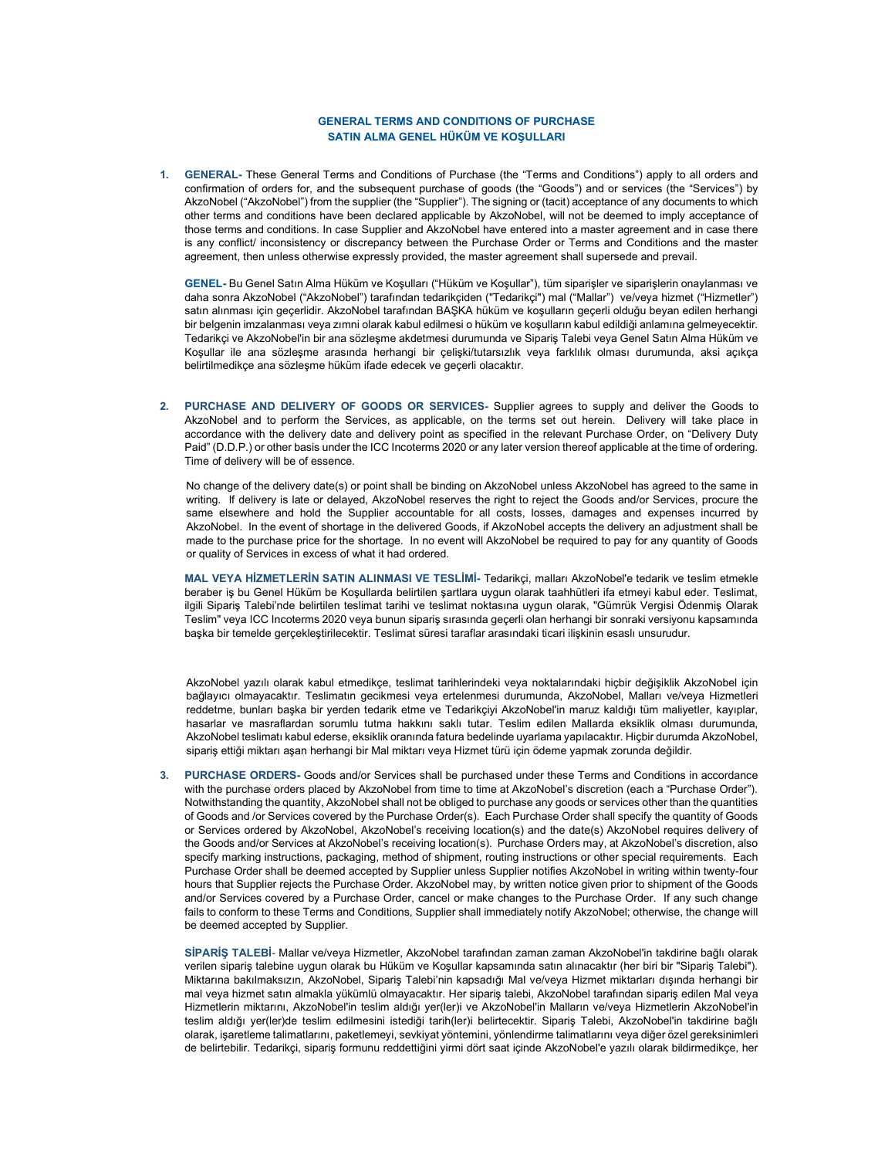## GENERAL TERMS AND CONDITIONS OF PURCHASE SATIN ALMA GENEL HÜKÜM VE KOŞULLARI

1. GENERAL- These General Terms and Conditions of Purchase (the "Terms and Conditions") apply to all orders and confirmation of orders for, and the subsequent purchase of goods (the "Goods") and or services (the "Services") by AkzoNobel ("AkzoNobel") from the supplier (the "Supplier"). The signing or (tacit) acceptance of any documents to which other terms and conditions have been declared applicable by AkzoNobel, will not be deemed to imply acceptance of those terms and conditions. In case Supplier and AkzoNobel have entered into a master agreement and in case there is any conflict/ inconsistency or discrepancy between the Purchase Order or Terms and Conditions and the master agreement, then unless otherwise expressly provided, the master agreement shall supersede and prevail.

GENEL- Bu Genel Satın Alma Hüküm ve Koşulları ("Hüküm ve Koşullar"), tüm siparişler ve siparişlerin onaylanması ve daha sonra AkzoNobel ("AkzoNobel") tarafından tedarikçiden ("Tedarikçi") mal ("Mallar") ve/veya hizmet ("Hizmetler") satın alınması için geçerlidir. AkzoNobel tarafından BAŞKA hüküm ve koşulların geçerli olduğu beyan edilen herhangi bir belgenin imzalanması veya zımni olarak kabul edilmesi o hüküm ve koşulların kabul edildiği anlamına gelmeyecektir. Tedarikçi ve AkzoNobel'in bir ana sözleşme akdetmesi durumunda ve Sipariş Talebi veya Genel Satın Alma Hüküm ve Koşullar ile ana sözleşme arasında herhangi bir çelişki/tutarsızlık veya farklılık olması durumunda, aksi açıkça belirtilmedikçe ana sözleşme hüküm ifade edecek ve geçerli olacaktır.

2. PURCHASE AND DELIVERY OF GOODS OR SERVICES- Supplier agrees to supply and deliver the Goods to AkzoNobel and to perform the Services, as applicable, on the terms set out herein. Delivery will take place in accordance with the delivery date and delivery point as specified in the relevant Purchase Order, on "Delivery Duty Paid" (D.D.P.) or other basis under the ICC Incoterms 2020 or any later version thereof applicable at the time of ordering. Time of delivery will be of essence.

No change of the delivery date(s) or point shall be binding on AkzoNobel unless AkzoNobel has agreed to the same in writing. If delivery is late or delayed, AkzoNobel reserves the right to reject the Goods and/or Services, procure the same elsewhere and hold the Supplier accountable for all costs, losses, damages and expenses incurred by AkzoNobel. In the event of shortage in the delivered Goods, if AkzoNobel accepts the delivery an adjustment shall be made to the purchase price for the shortage. In no event will AkzoNobel be required to pay for any quantity of Goods or quality of Services in excess of what it had ordered.

MAL VEYA HİZMETLERİN SATIN ALINMASI VE TESLİMİ- Tedarikçi, malları AkzoNobel'e tedarik ve teslim etmekle beraber iş bu Genel Hüküm be Koşullarda belirtilen şartlara uygun olarak taahhütleri ifa etmeyi kabul eder. Teslimat, ilgili Sipariş Talebi'nde belirtilen teslimat tarihi ve teslimat noktasına uygun olarak, "Gümrük Vergisi Ödenmiş Olarak Teslim" veya ICC Incoterms 2020 veya bunun sipariş sırasında geçerli olan herhangi bir sonraki versiyonu kapsamında başka bir temelde gerçekleştirilecektir. Teslimat süresi taraflar arasındaki ticari ilişkinin esaslı unsurudur.

AkzoNobel yazılı olarak kabul etmedikçe, teslimat tarihlerindeki veya noktalarındaki hiçbir değişiklik AkzoNobel için bağlayıcı olmayacaktır. Teslimatın gecikmesi veya ertelenmesi durumunda, AkzoNobel, Malları ve/veya Hizmetleri reddetme, bunları başka bir yerden tedarik etme ve Tedarikçiyi AkzoNobel'in maruz kaldığı tüm maliyetler, kayıplar, hasarlar ve masraflardan sorumlu tutma hakkını saklı tutar. Teslim edilen Mallarda eksiklik olması durumunda, AkzoNobel teslimatı kabul ederse, eksiklik oranında fatura bedelinde uyarlama yapılacaktır. Hiçbir durumda AkzoNobel, sipariş ettiği miktarı aşan herhangi bir Mal miktarı veya Hizmet türü için ödeme yapmak zorunda değildir.

3. PURCHASE ORDERS- Goods and/or Services shall be purchased under these Terms and Conditions in accordance with the purchase orders placed by AkzoNobel from time to time at AkzoNobel's discretion (each a "Purchase Order"). Notwithstanding the quantity, AkzoNobel shall not be obliged to purchase any goods or services other than the quantities of Goods and /or Services covered by the Purchase Order(s). Each Purchase Order shall specify the quantity of Goods or Services ordered by AkzoNobel, AkzoNobel's receiving location(s) and the date(s) AkzoNobel requires delivery of the Goods and/or Services at AkzoNobel's receiving location(s). Purchase Orders may, at AkzoNobel's discretion, also specify marking instructions, packaging, method of shipment, routing instructions or other special requirements. Each Purchase Order shall be deemed accepted by Supplier unless Supplier notifies AkzoNobel in writing within twenty-four hours that Supplier rejects the Purchase Order. AkzoNobel may, by written notice given prior to shipment of the Goods and/or Services covered by a Purchase Order, cancel or make changes to the Purchase Order. If any such change fails to conform to these Terms and Conditions, Supplier shall immediately notify AkzoNobel; otherwise, the change will be deemed accepted by Supplier.

SİPARİŞ TALEBİ- Mallar ve/veya Hizmetler, AkzoNobel tarafından zaman zaman AkzoNobel'in takdirine bağlı olarak verilen sipariş talebine uygun olarak bu Hüküm ve Koşullar kapsamında satın alınacaktır (her biri bir "Sipariş Talebi"). Miktarına bakılmaksızın, AkzoNobel, Sipariş Talebi'nin kapsadığı Mal ve/veya Hizmet miktarları dışında herhangi bir mal veya hizmet satın almakla yükümlü olmayacaktır. Her sipariş talebi, AkzoNobel tarafından sipariş edilen Mal veya Hizmetlerin miktarını, AkzoNobel'in teslim aldığı yer(ler)i ve AkzoNobel'in Malların ve/veya Hizmetlerin AkzoNobel'in teslim aldığı yer(ler)de teslim edilmesini istediği tarih(ler)i belirtecektir. Sipariş Talebi, AkzoNobel'in takdirine bağlı olarak, işaretleme talimatlarını, paketlemeyi, sevkiyat yöntemini, yönlendirme talimatlarını veya diğer özel gereksinimleri de belirtebilir. Tedarikçi, sipariş formunu reddettiğini yirmi dört saat içinde AkzoNobel'e yazılı olarak bildirmedikçe, her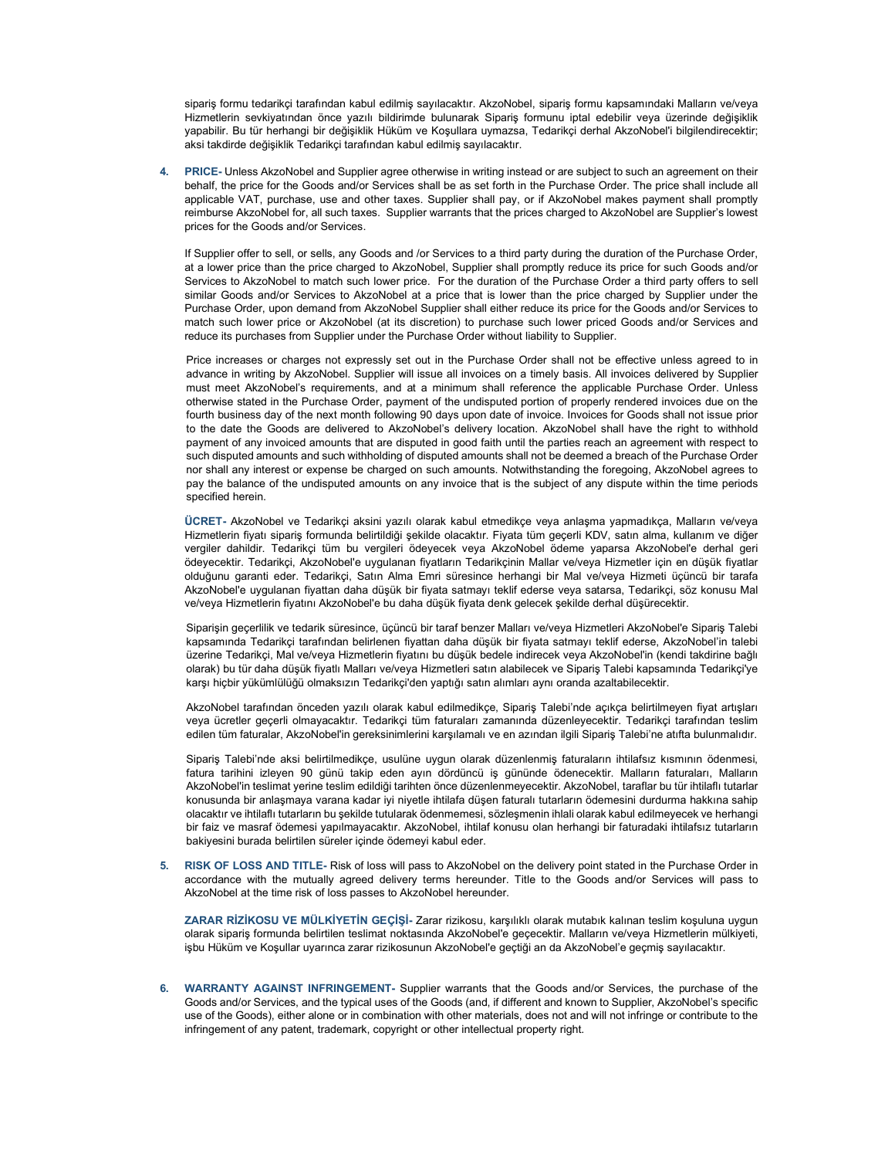sipariş formu tedarikçi tarafından kabul edilmiş sayılacaktır. AkzoNobel, sipariş formu kapsamındaki Malların ve/veya Hizmetlerin sevkiyatından önce yazılı bildirimde bulunarak Sipariş formunu iptal edebilir veya üzerinde değişiklik yapabilir. Bu tür herhangi bir değişiklik Hüküm ve Koşullara uymazsa, Tedarikçi derhal AkzoNobel'i bilgilendirecektir; aksi takdirde değişiklik Tedarikçi tarafından kabul edilmiş sayılacaktır.

4. PRICE- Unless AkzoNobel and Supplier agree otherwise in writing instead or are subject to such an agreement on their behalf, the price for the Goods and/or Services shall be as set forth in the Purchase Order. The price shall include all applicable VAT, purchase, use and other taxes. Supplier shall pay, or if AkzoNobel makes payment shall promptly reimburse AkzoNobel for, all such taxes. Supplier warrants that the prices charged to AkzoNobel are Supplier's lowest prices for the Goods and/or Services.

If Supplier offer to sell, or sells, any Goods and /or Services to a third party during the duration of the Purchase Order, at a lower price than the price charged to AkzoNobel, Supplier shall promptly reduce its price for such Goods and/or Services to AkzoNobel to match such lower price. For the duration of the Purchase Order a third party offers to sell similar Goods and/or Services to AkzoNobel at a price that is lower than the price charged by Supplier under the Purchase Order, upon demand from AkzoNobel Supplier shall either reduce its price for the Goods and/or Services to match such lower price or AkzoNobel (at its discretion) to purchase such lower priced Goods and/or Services and reduce its purchases from Supplier under the Purchase Order without liability to Supplier.

Price increases or charges not expressly set out in the Purchase Order shall not be effective unless agreed to in advance in writing by AkzoNobel. Supplier will issue all invoices on a timely basis. All invoices delivered by Supplier must meet AkzoNobel's requirements, and at a minimum shall reference the applicable Purchase Order. Unless otherwise stated in the Purchase Order, payment of the undisputed portion of properly rendered invoices due on the fourth business day of the next month following 90 days upon date of invoice. Invoices for Goods shall not issue prior to the date the Goods are delivered to AkzoNobel's delivery location. AkzoNobel shall have the right to withhold payment of any invoiced amounts that are disputed in good faith until the parties reach an agreement with respect to such disputed amounts and such withholding of disputed amounts shall not be deemed a breach of the Purchase Order nor shall any interest or expense be charged on such amounts. Notwithstanding the foregoing, AkzoNobel agrees to pay the balance of the undisputed amounts on any invoice that is the subject of any dispute within the time periods specified herein.

ÜCRET- AkzoNobel ve Tedarikçi aksini yazılı olarak kabul etmedikçe veya anlaşma yapmadıkça, Malların ve/veya Hizmetlerin fiyatı sipariş formunda belirtildiği şekilde olacaktır. Fiyata tüm geçerli KDV, satın alma, kullanım ve diğer vergiler dahildir. Tedarikçi tüm bu vergileri ödeyecek veya AkzoNobel ödeme yaparsa AkzoNobel'e derhal geri ödeyecektir. Tedarikçi, AkzoNobel'e uygulanan fiyatların Tedarikçinin Mallar ve/veya Hizmetler için en düşük fiyatlar olduğunu garanti eder. Tedarikçi, Satın Alma Emri süresince herhangi bir Mal ve/veya Hizmeti üçüncü bir tarafa AkzoNobel'e uygulanan fiyattan daha düşük bir fiyata satmayı teklif ederse veya satarsa, Tedarikçi, söz konusu Mal ve/veya Hizmetlerin fiyatını AkzoNobel'e bu daha düşük fiyata denk gelecek şekilde derhal düşürecektir.

Siparişin geçerlilik ve tedarik süresince, üçüncü bir taraf benzer Malları ve/veya Hizmetleri AkzoNobel'e Sipariş Talebi kapsamında Tedarikçi tarafından belirlenen fiyattan daha düşük bir fiyata satmayı teklif ederse, AkzoNobel'in talebi üzerine Tedarikçi, Mal ve/veya Hizmetlerin fiyatını bu düşük bedele indirecek veya AkzoNobel'in (kendi takdirine bağlı olarak) bu tür daha düşük fiyatlı Malları ve/veya Hizmetleri satın alabilecek ve Sipariş Talebi kapsamında Tedarikçi'ye karşı hiçbir yükümlülüğü olmaksızın Tedarikçi'den yaptığı satın alımları aynı oranda azaltabilecektir.

AkzoNobel tarafından önceden yazılı olarak kabul edilmedikçe, Sipariş Talebi'nde açıkça belirtilmeyen fiyat artışları veya ücretler geçerli olmayacaktır. Tedarikçi tüm faturaları zamanında düzenleyecektir. Tedarikçi tarafından teslim edilen tüm faturalar, AkzoNobel'in gereksinimlerini karşılamalı ve en azından ilgili Sipariş Talebi'ne atıfta bulunmalıdır.

Sipariş Talebi'nde aksi belirtilmedikçe, usulüne uygun olarak düzenlenmiş faturaların ihtilafsız kısmının ödenmesi, fatura tarihini izleyen 90 günü takip eden ayın dördüncü iş gününde ödenecektir. Malların faturaları, Malların AkzoNobel'in teslimat yerine teslim edildiği tarihten önce düzenlenmeyecektir. AkzoNobel, taraflar bu tür ihtilaflı tutarlar konusunda bir anlaşmaya varana kadar iyi niyetle ihtilafa düşen faturalı tutarların ödemesini durdurma hakkına sahip olacaktır ve ihtilaflı tutarların bu şekilde tutularak ödenmemesi, sözleşmenin ihlali olarak kabul edilmeyecek ve herhangi bir faiz ve masraf ödemesi yapılmayacaktır. AkzoNobel, ihtilaf konusu olan herhangi bir faturadaki ihtilafsız tutarların bakiyesini burada belirtilen süreler içinde ödemeyi kabul eder.

5. RISK OF LOSS AND TITLE- Risk of loss will pass to AkzoNobel on the delivery point stated in the Purchase Order in accordance with the mutually agreed delivery terms hereunder. Title to the Goods and/or Services will pass to AkzoNobel at the time risk of loss passes to AkzoNobel hereunder.

ZARAR RİZİKOSU VE MÜLKİYETİN GEÇİŞİ- Zarar rizikosu, karşılıklı olarak mutabık kalınan teslim koşuluna uygun olarak sipariş formunda belirtilen teslimat noktasında AkzoNobel'e geçecektir. Malların ve/veya Hizmetlerin mülkiyeti, işbu Hüküm ve Koşullar uyarınca zarar rizikosunun AkzoNobel'e geçtiği an da AkzoNobel'e geçmiş sayılacaktır.

6. WARRANTY AGAINST INFRINGEMENT- Supplier warrants that the Goods and/or Services, the purchase of the Goods and/or Services, and the typical uses of the Goods (and, if different and known to Supplier, AkzoNobel's specific use of the Goods), either alone or in combination with other materials, does not and will not infringe or contribute to the infringement of any patent, trademark, copyright or other intellectual property right.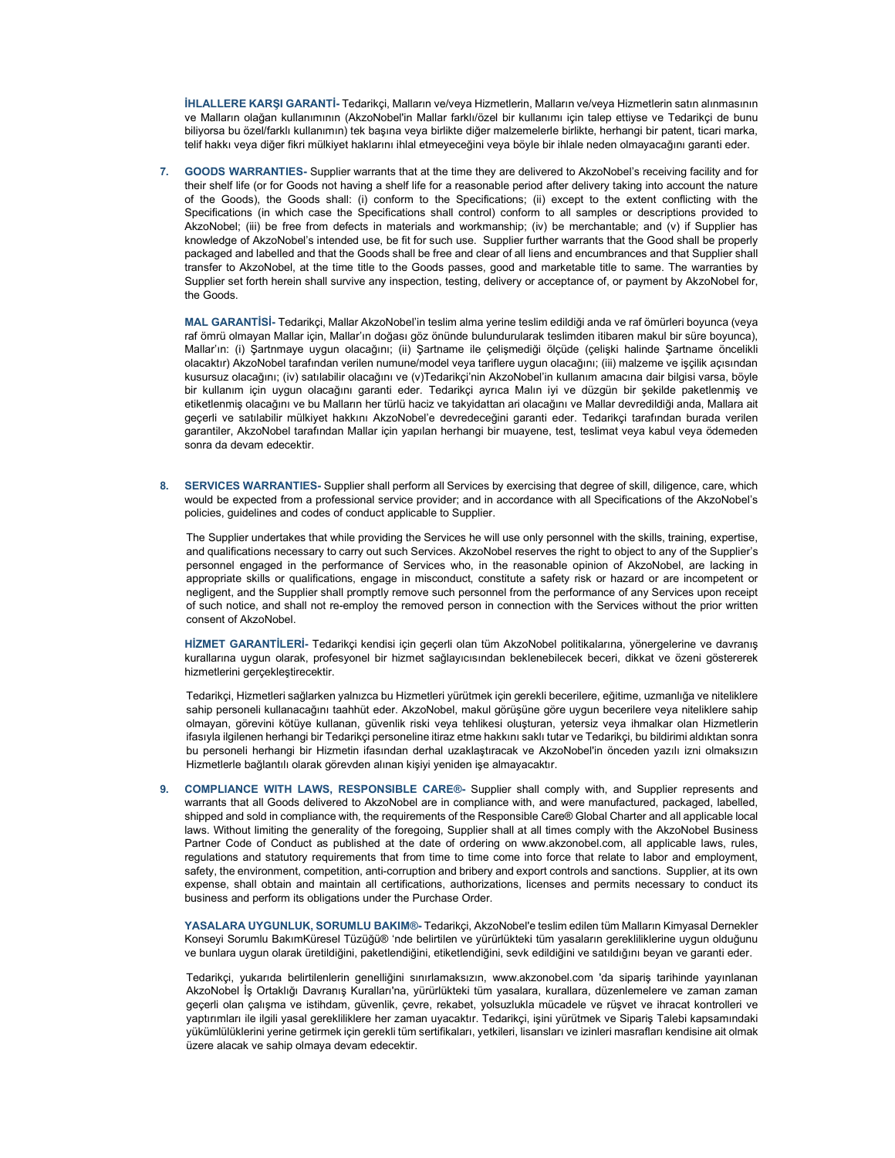İHLALLERE KARŞI GARANTİ- Tedarikçi, Malların ve/veya Hizmetlerin, Malların ve/veya Hizmetlerin satın alınmasının ve Malların olağan kullanımının (AkzoNobel'in Mallar farklı/özel bir kullanımı için talep ettiyse ve Tedarikçi de bunu biliyorsa bu özel/farklı kullanımın) tek başına veya birlikte diğer malzemelerle birlikte, herhangi bir patent, ticari marka, telif hakkı veya diğer fikri mülkiyet haklarını ihlal etmeyeceğini veya böyle bir ihlale neden olmayacağını garanti eder.

7. GOODS WARRANTIES- Supplier warrants that at the time they are delivered to AkzoNobel's receiving facility and for their shelf life (or for Goods not having a shelf life for a reasonable period after delivery taking into account the nature of the Goods), the Goods shall: (i) conform to the Specifications; (ii) except to the extent conflicting with the Specifications (in which case the Specifications shall control) conform to all samples or descriptions provided to AkzoNobel; (iii) be free from defects in materials and workmanship; (iv) be merchantable; and (v) if Supplier has knowledge of AkzoNobel's intended use, be fit for such use. Supplier further warrants that the Good shall be properly packaged and labelled and that the Goods shall be free and clear of all liens and encumbrances and that Supplier shall transfer to AkzoNobel, at the time title to the Goods passes, good and marketable title to same. The warranties by Supplier set forth herein shall survive any inspection, testing, delivery or acceptance of, or payment by AkzoNobel for, the Goods.

MAL GARANTİSİ- Tedarikçi, Mallar AkzoNobel'in teslim alma yerine teslim edildiği anda ve raf ömürleri boyunca (veya raf ömrü olmayan Mallar için, Mallar'ın doğası göz önünde bulundurularak teslimden itibaren makul bir süre boyunca), Mallar'ın: (i) Şartnmaye uygun olacağını; (ii) Şartname ile çelişmediği ölçüde (çelişki halinde Şartname öncelikli olacaktır) AkzoNobel tarafından verilen numune/model veya tariflere uygun olacağını; (iii) malzeme ve işçilik açısından kusursuz olacağını; (iv) satılabilir olacağını ve (v)Tedarikçi'nin AkzoNobel'in kullanım amacına dair bilgisi varsa, böyle bir kullanım için uygun olacağını garanti eder. Tedarikçi ayrıca Malın iyi ve düzgün bir şekilde paketlenmiş ve etiketlenmiş olacağını ve bu Malların her türlü haciz ve takyidattan ari olacağını ve Mallar devredildiği anda, Mallara ait geçerli ve satılabilir mülkiyet hakkını AkzoNobel'e devredeceğini garanti eder. Tedarikçi tarafından burada verilen garantiler, AkzoNobel tarafından Mallar için yapılan herhangi bir muayene, test, teslimat veya kabul veya ödemeden sonra da devam edecektir.

8. SERVICES WARRANTIES- Supplier shall perform all Services by exercising that degree of skill, diligence, care, which would be expected from a professional service provider; and in accordance with all Specifications of the AkzoNobel's policies, guidelines and codes of conduct applicable to Supplier.

The Supplier undertakes that while providing the Services he will use only personnel with the skills, training, expertise, and qualifications necessary to carry out such Services. AkzoNobel reserves the right to object to any of the Supplier's personnel engaged in the performance of Services who, in the reasonable opinion of AkzoNobel, are lacking in appropriate skills or qualifications, engage in misconduct, constitute a safety risk or hazard or are incompetent or negligent, and the Supplier shall promptly remove such personnel from the performance of any Services upon receipt of such notice, and shall not re-employ the removed person in connection with the Services without the prior written consent of AkzoNobel.

HİZMET GARANTİLERİ- Tedarikçi kendisi için geçerli olan tüm AkzoNobel politikalarına, yönergelerine ve davranış kurallarına uygun olarak, profesyonel bir hizmet sağlayıcısından beklenebilecek beceri, dikkat ve özeni göstererek hizmetlerini gerçekleştirecektir.

Tedarikçi, Hizmetleri sağlarken yalnızca bu Hizmetleri yürütmek için gerekli becerilere, eğitime, uzmanlığa ve niteliklere sahip personeli kullanacağını taahhüt eder. AkzoNobel, makul görüşüne göre uygun becerilere veya niteliklere sahip olmayan, görevini kötüye kullanan, güvenlik riski veya tehlikesi oluşturan, yetersiz veya ihmalkar olan Hizmetlerin ifasıyla ilgilenen herhangi bir Tedarikçi personeline itiraz etme hakkını saklı tutar ve Tedarikçi, bu bildirimi aldıktan sonra bu personeli herhangi bir Hizmetin ifasından derhal uzaklaştıracak ve AkzoNobel'in önceden yazılı izni olmaksızın Hizmetlerle bağlantılı olarak görevden alınan kişiyi yeniden işe almayacaktır.

9. COMPLIANCE WITH LAWS, RESPONSIBLE CARE®- Supplier shall comply with, and Supplier represents and warrants that all Goods delivered to AkzoNobel are in compliance with, and were manufactured, packaged, labelled, shipped and sold in compliance with, the requirements of the Responsible Care® Global Charter and all applicable local laws. Without limiting the generality of the foregoing, Supplier shall at all times comply with the AkzoNobel Business Partner Code of Conduct as published at the date of ordering on www.akzonobel.com, all applicable laws, rules, regulations and statutory requirements that from time to time come into force that relate to labor and employment, safety, the environment, competition, anti-corruption and bribery and export controls and sanctions. Supplier, at its own expense, shall obtain and maintain all certifications, authorizations, licenses and permits necessary to conduct its business and perform its obligations under the Purchase Order.

YASALARA UYGUNLUK, SORUMLU BAKIM®- Tedarikçi, AkzoNobel'e teslim edilen tüm Malların Kimyasal Dernekler Konseyi Sorumlu BakımKüresel Tüzüğü® 'nde belirtilen ve yürürlükteki tüm yasaların gerekliliklerine uygun olduğunu ve bunlara uygun olarak üretildiğini, paketlendiğini, etiketlendiğini, sevk edildiğini ve satıldığını beyan ve garanti eder.

Tedarikçi, yukarıda belirtilenlerin genelliğini sınırlamaksızın, www.akzonobel.com 'da sipariş tarihinde yayınlanan AkzoNobel İş Ortaklığı Davranış Kuralları'na, yürürlükteki tüm yasalara, kurallara, düzenlemelere ve zaman zaman geçerli olan çalışma ve istihdam, güvenlik, çevre, rekabet, yolsuzlukla mücadele ve rüşvet ve ihracat kontrolleri ve yaptırımları ile ilgili yasal gerekliliklere her zaman uyacaktır. Tedarikçi, işini yürütmek ve Sipariş Talebi kapsamındaki yükümlülüklerini yerine getirmek için gerekli tüm sertifikaları, yetkileri, lisansları ve izinleri masrafları kendisine ait olmak üzere alacak ve sahip olmaya devam edecektir.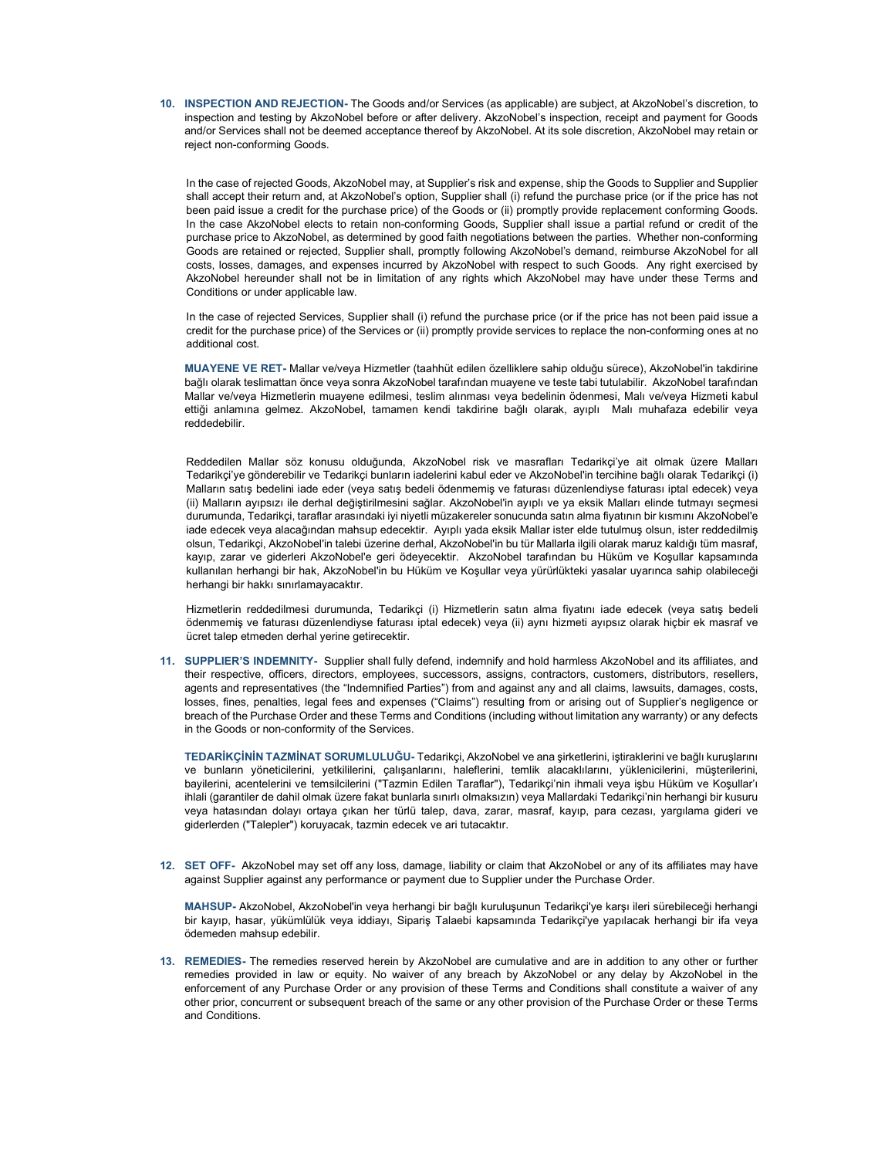10. INSPECTION AND REJECTION- The Goods and/or Services (as applicable) are subject, at AkzoNobel's discretion, to inspection and testing by AkzoNobel before or after delivery. AkzoNobel's inspection, receipt and payment for Goods and/or Services shall not be deemed acceptance thereof by AkzoNobel. At its sole discretion, AkzoNobel may retain or reject non-conforming Goods.

In the case of rejected Goods, AkzoNobel may, at Supplier's risk and expense, ship the Goods to Supplier and Supplier shall accept their return and, at AkzoNobel's option, Supplier shall (i) refund the purchase price (or if the price has not been paid issue a credit for the purchase price) of the Goods or (ii) promptly provide replacement conforming Goods. In the case AkzoNobel elects to retain non-conforming Goods, Supplier shall issue a partial refund or credit of the purchase price to AkzoNobel, as determined by good faith negotiations between the parties. Whether non-conforming Goods are retained or rejected, Supplier shall, promptly following AkzoNobel's demand, reimburse AkzoNobel for all costs, losses, damages, and expenses incurred by AkzoNobel with respect to such Goods. Any right exercised by AkzoNobel hereunder shall not be in limitation of any rights which AkzoNobel may have under these Terms and Conditions or under applicable law.

In the case of rejected Services, Supplier shall (i) refund the purchase price (or if the price has not been paid issue a credit for the purchase price) of the Services or (ii) promptly provide services to replace the non-conforming ones at no additional cost.

MUAYENE VE RET- Mallar ve/veya Hizmetler (taahhüt edilen özelliklere sahip olduğu sürece), AkzoNobel'in takdirine bağlı olarak teslimattan önce veya sonra AkzoNobel tarafından muayene ve teste tabi tutulabilir. AkzoNobel tarafından Mallar ve/veya Hizmetlerin muayene edilmesi, teslim alınması veya bedelinin ödenmesi, Malı ve/veya Hizmeti kabul ettiği anlamına gelmez. AkzoNobel, tamamen kendi takdirine bağlı olarak, ayıplı Malı muhafaza edebilir veya reddedebilir.

Reddedilen Mallar söz konusu olduğunda, AkzoNobel risk ve masrafları Tedarikçi'ye ait olmak üzere Malları Tedarikçi'ye gönderebilir ve Tedarikçi bunların iadelerini kabul eder ve AkzoNobel'in tercihine bağlı olarak Tedarikçi (i) Malların satış bedelini iade eder (veya satış bedeli ödenmemiş ve faturası düzenlendiyse faturası iptal edecek) veya (ii) Malların ayıpsızı ile derhal değiştirilmesini sağlar. AkzoNobel'in ayıplı ve ya eksik Malları elinde tutmayı seçmesi durumunda, Tedarikçi, taraflar arasındaki iyi niyetli müzakereler sonucunda satın alma fiyatının bir kısmını AkzoNobel'e iade edecek veya alacağından mahsup edecektir. Ayıplı yada eksik Mallar ister elde tutulmuş olsun, ister reddedilmiş olsun, Tedarikçi, AkzoNobel'in talebi üzerine derhal, AkzoNobel'in bu tür Mallarla ilgili olarak maruz kaldığı tüm masraf, kayıp, zarar ve giderleri AkzoNobel'e geri ödeyecektir. AkzoNobel tarafından bu Hüküm ve Koşullar kapsamında kullanılan herhangi bir hak, AkzoNobel'in bu Hüküm ve Koşullar veya yürürlükteki yasalar uyarınca sahip olabileceği herhangi bir hakkı sınırlamayacaktır.

Hizmetlerin reddedilmesi durumunda, Tedarikçi (i) Hizmetlerin satın alma fiyatını iade edecek (veya satış bedeli ödenmemiş ve faturası düzenlendiyse faturası iptal edecek) veya (ii) aynı hizmeti ayıpsız olarak hiçbir ek masraf ve ücret talep etmeden derhal yerine getirecektir.

11. SUPPLIER'S INDEMNITY- Supplier shall fully defend, indemnify and hold harmless AkzoNobel and its affiliates, and their respective, officers, directors, employees, successors, assigns, contractors, customers, distributors, resellers, agents and representatives (the "Indemnified Parties") from and against any and all claims, lawsuits, damages, costs, losses, fines, penalties, legal fees and expenses ("Claims") resulting from or arising out of Supplier's negligence or breach of the Purchase Order and these Terms and Conditions (including without limitation any warranty) or any defects in the Goods or non-conformity of the Services.

TEDARİKÇİNİN TAZMİNAT SORUMLULUĞU- Tedarikçi, AkzoNobel ve ana şirketlerini, iştiraklerini ve bağlı kuruşlarını ve bunların yöneticilerini, yetkililerini, çalışanlarını, haleflerini, temlik alacaklılarını, yüklenicilerini, müşterilerini, bayilerini, acentelerini ve temsilcilerini ("Tazmin Edilen Taraflar"), Tedarikçi'nin ihmali veya işbu Hüküm ve Koşullar'ı ihlali (garantiler de dahil olmak üzere fakat bunlarla sınırlı olmaksızın) veya Mallardaki Tedarikçi'nin herhangi bir kusuru veya hatasından dolayı ortaya çıkan her türlü talep, dava, zarar, masraf, kayıp, para cezası, yargılama gideri ve giderlerden ("Talepler") koruyacak, tazmin edecek ve ari tutacaktır.

12. SET OFF- AkzoNobel may set off any loss, damage, liability or claim that AkzoNobel or any of its affiliates may have against Supplier against any performance or payment due to Supplier under the Purchase Order.

MAHSUP- AkzoNobel, AkzoNobel'in veya herhangi bir bağlı kuruluşunun Tedarikçi'ye karşı ileri sürebileceği herhangi bir kayıp, hasar, yükümlülük veya iddiayı, Sipariş Talaebi kapsamında Tedarikçi'ye yapılacak herhangi bir ifa veya ödemeden mahsup edebilir.

13. REMEDIES- The remedies reserved herein by AkzoNobel are cumulative and are in addition to any other or further remedies provided in law or equity. No waiver of any breach by AkzoNobel or any delay by AkzoNobel in the enforcement of any Purchase Order or any provision of these Terms and Conditions shall constitute a waiver of any other prior, concurrent or subsequent breach of the same or any other provision of the Purchase Order or these Terms and Conditions.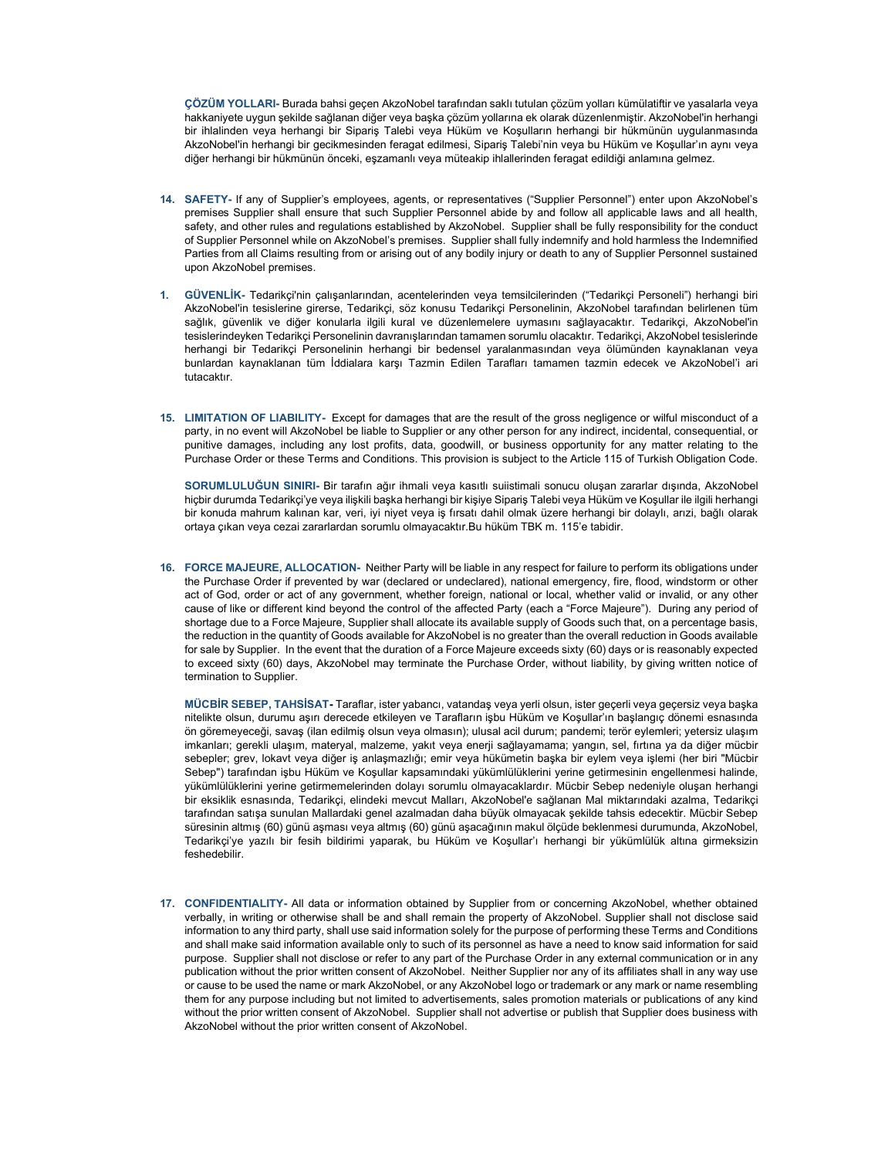ÇÖZÜM YOLLARI- Burada bahsi geçen AkzoNobel tarafından saklı tutulan çözüm yolları kümülatiftir ve yasalarla veya hakkaniyete uygun şekilde sağlanan diğer veya başka çözüm yollarına ek olarak düzenlenmiştir. AkzoNobel'in herhangi bir ihlalinden veya herhangi bir Sipariş Talebi veya Hüküm ve Koşulların herhangi bir hükmünün uygulanmasında AkzoNobel'in herhangi bir gecikmesinden feragat edilmesi, Sipariş Talebi'nin veya bu Hüküm ve Koşullar'ın aynı veya diğer herhangi bir hükmünün önceki, eşzamanlı veya müteakip ihlallerinden feragat edildiği anlamına gelmez.

- 14. SAFETY- If any of Supplier's employees, agents, or representatives ("Supplier Personnel") enter upon AkzoNobel's premises Supplier shall ensure that such Supplier Personnel abide by and follow all applicable laws and all health, safety, and other rules and regulations established by AkzoNobel. Supplier shall be fully responsibility for the conduct of Supplier Personnel while on AkzoNobel's premises. Supplier shall fully indemnify and hold harmless the Indemnified Parties from all Claims resulting from or arising out of any bodily injury or death to any of Supplier Personnel sustained upon AkzoNobel premises.
- 1. GÜVENLİK- Tedarikçi'nin çalışanlarından, acentelerinden veya temsilcilerinden ("Tedarikçi Personeli") herhangi biri AkzoNobel'in tesislerine girerse, Tedarikçi, söz konusu Tedarikçi Personelinin, AkzoNobel tarafından belirlenen tüm sağlık, güvenlik ve diğer konularla ilgili kural ve düzenlemelere uymasını sağlayacaktır. Tedarikçi, AkzoNobel'in tesislerindeyken Tedarikçi Personelinin davranışlarından tamamen sorumlu olacaktır. Tedarikçi, AkzoNobel tesislerinde herhangi bir Tedarikçi Personelinin herhangi bir bedensel yaralanmasından veya ölümünden kaynaklanan veya bunlardan kaynaklanan tüm İddialara karşı Tazmin Edilen Tarafları tamamen tazmin edecek ve AkzoNobel'i ari tutacaktır.
- 15. LIMITATION OF LIABILITY- Except for damages that are the result of the gross negligence or wilful misconduct of a party, in no event will AkzoNobel be liable to Supplier or any other person for any indirect, incidental, consequential, or punitive damages, including any lost profits, data, goodwill, or business opportunity for any matter relating to the Purchase Order or these Terms and Conditions. This provision is subject to the Article 115 of Turkish Obligation Code.

SORUMLULUĞUN SINIRI- Bir tarafın ağır ihmali veya kasıtlı suiistimali sonucu oluşan zararlar dışında, AkzoNobel hiçbir durumda Tedarikçi'ye veya ilişkili başka herhangi bir kişiye Sipariş Talebi veya Hüküm ve Koşullar ile ilgili herhangi bir konuda mahrum kalınan kar, veri, iyi niyet veya iş fırsatı dahil olmak üzere herhangi bir dolaylı, arızi, bağlı olarak ortaya çıkan veya cezai zararlardan sorumlu olmayacaktır.Bu hüküm TBK m. 115'e tabidir.

16. FORCE MAJEURE, ALLOCATION- Neither Party will be liable in any respect for failure to perform its obligations under the Purchase Order if prevented by war (declared or undeclared), national emergency, fire, flood, windstorm or other act of God, order or act of any government, whether foreign, national or local, whether valid or invalid, or any other cause of like or different kind beyond the control of the affected Party (each a "Force Majeure"). During any period of shortage due to a Force Majeure, Supplier shall allocate its available supply of Goods such that, on a percentage basis, the reduction in the quantity of Goods available for AkzoNobel is no greater than the overall reduction in Goods available for sale by Supplier. In the event that the duration of a Force Majeure exceeds sixty (60) days or is reasonably expected to exceed sixty (60) days, AkzoNobel may terminate the Purchase Order, without liability, by giving written notice of termination to Supplier.

MÜCBİR SEBEP, TAHSİSAT- Taraflar, ister yabancı, vatandaş veya yerli olsun, ister geçerli veya geçersiz veya başka nitelikte olsun, durumu aşırı derecede etkileyen ve Tarafların işbu Hüküm ve Koşullar'ın başlangıç dönemi esnasında ön göremeyeceği, savaş (ilan edilmiş olsun veya olmasın); ulusal acil durum; pandemi; terör eylemleri; yetersiz ulaşım imkanları; gerekli ulaşım, materyal, malzeme, yakıt veya enerji sağlayamama; yangın, sel, fırtına ya da diğer mücbir sebepler; grev, lokavt veya diğer iş anlaşmazlığı; emir veya hükümetin başka bir eylem veya işlemi (her biri "Mücbir Sebep") tarafından işbu Hüküm ve Koşullar kapsamındaki yükümlülüklerini yerine getirmesinin engellenmesi halinde, yükümlülüklerini yerine getirmemelerinden dolayı sorumlu olmayacaklardır. Mücbir Sebep nedeniyle oluşan herhangi bir eksiklik esnasında, Tedarikçi, elindeki mevcut Malları, AkzoNobel'e sağlanan Mal miktarındaki azalma, Tedarikçi tarafından satışa sunulan Mallardaki genel azalmadan daha büyük olmayacak şekilde tahsis edecektir. Mücbir Sebep süresinin altmış (60) günü aşması veya altmış (60) günü aşacağının makul ölçüde beklenmesi durumunda, AkzoNobel, Tedarikçi'ye yazılı bir fesih bildirimi yaparak, bu Hüküm ve Koşullar'ı herhangi bir yükümlülük altına girmeksizin feshedebilir.

17. CONFIDENTIALITY- All data or information obtained by Supplier from or concerning AkzoNobel, whether obtained verbally, in writing or otherwise shall be and shall remain the property of AkzoNobel. Supplier shall not disclose said information to any third party, shall use said information solely for the purpose of performing these Terms and Conditions and shall make said information available only to such of its personnel as have a need to know said information for said purpose. Supplier shall not disclose or refer to any part of the Purchase Order in any external communication or in any publication without the prior written consent of AkzoNobel. Neither Supplier nor any of its affiliates shall in any way use or cause to be used the name or mark AkzoNobel, or any AkzoNobel logo or trademark or any mark or name resembling them for any purpose including but not limited to advertisements, sales promotion materials or publications of any kind without the prior written consent of AkzoNobel. Supplier shall not advertise or publish that Supplier does business with AkzoNobel without the prior written consent of AkzoNobel.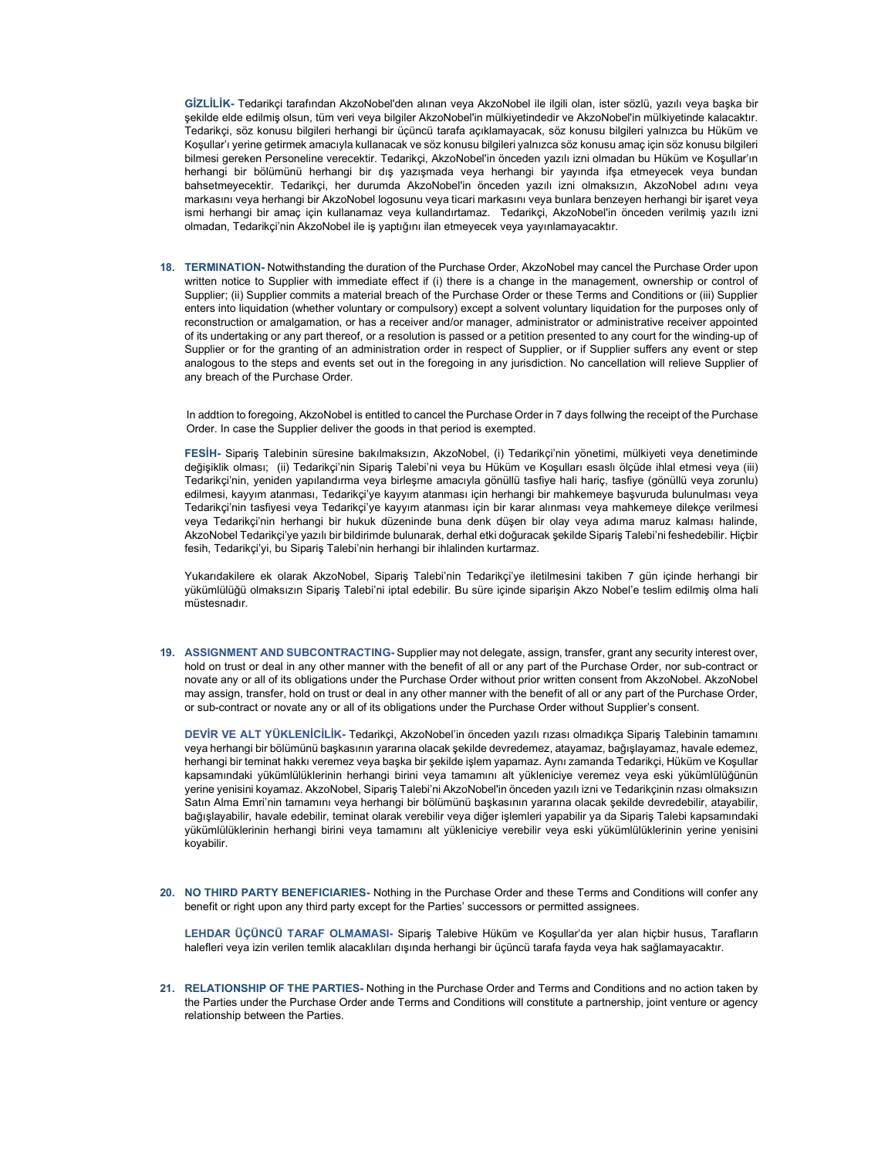GİZLİLİK- Tedarikçi tarafından AkzoNobel'den alınan veya AkzoNobel ile ilgili olan, ister sözlü, yazılı veya başka bir şekilde elde edilmiş olsun, tüm veri veya bilgiler AkzoNobel'in mülkiyetindedir ve AkzoNobel'in mülkiyetinde kalacaktır. Tedarikçi, söz konusu bilgileri herhangi bir üçüncü tarafa açıklamayacak, söz konusu bilgileri yalnızca bu Hüküm ve Koşullar'ı yerine getirmek amacıyla kullanacak ve söz konusu bilgileri yalnızca söz konusu amaç için söz konusu bilgileri bilmesi gereken Personeline verecektir. Tedarikçi, AkzoNobel'in önceden yazılı izni olmadan bu Hüküm ve Koşullar'ın herhangi bir bölümünü herhangi bir dış yazışmada veya herhangi bir yayında ifşa etmeyecek veya bundan bahsetmeyecektir. Tedarikçi, her durumda AkzoNobel'in önceden yazılı izni olmaksızın, AkzoNobel adını veya markasını veya herhangi bir AkzoNobel logosunu veya ticari markasını veya bunlara benzeyen herhangi bir işaret veya ismi herhangi bir amaç için kullanamaz veya kullandırtamaz. Tedarikçi, AkzoNobel'in önceden verilmiş yazılı izni olmadan, Tedarikçi'nin AkzoNobel ile iş yaptığını ilan etmeyecek veya yayınlamayacaktır.

18. TERMINATION- Notwithstanding the duration of the Purchase Order, AkzoNobel may cancel the Purchase Order upon written notice to Supplier with immediate effect if (i) there is a change in the management, ownership or control of Supplier; (ii) Supplier commits a material breach of the Purchase Order or these Terms and Conditions or (iii) Supplier enters into liquidation (whether voluntary or compulsory) except a solvent voluntary liquidation for the purposes only of reconstruction or amalgamation, or has a receiver and/or manager, administrator or administrative receiver appointed of its undertaking or any part thereof, or a resolution is passed or a petition presented to any court for the winding-up of Supplier or for the granting of an administration order in respect of Supplier, or if Supplier suffers any event or step analogous to the steps and events set out in the foregoing in any jurisdiction. No cancellation will relieve Supplier of any breach of the Purchase Order.

In addtion to foregoing, AkzoNobel is entitled to cancel the Purchase Order in 7 days follwing the receipt of the Purchase Order. In case the Supplier deliver the goods in that period is exempted.

FESİH- Sipariş Talebinin süresine bakılmaksızın, AkzoNobel, (i) Tedarikçi'nin yönetimi, mülkiyeti veya denetiminde değişiklik olması; (ii) Tedarikçi'nin Sipariş Talebi'ni veya bu Hüküm ve Koşulları esaslı ölçüde ihlal etmesi veya (iii) Tedarikçi'nin, yeniden yapılandırma veya birleşme amacıyla gönüllü tasfiye hali hariç, tasfiye (gönüllü veya zorunlu) edilmesi, kayyım atanması, Tedarikçi'ye kayyım atanması için herhangi bir mahkemeye başvuruda bulunulması veya Tedarikçi'nin tasfiyesi veya Tedarikçi'ye kayyım atanması için bir karar alınması veya mahkemeye dilekçe verilmesi veya Tedarikçi'nin herhangi bir hukuk düzeninde buna denk düşen bir olay veya adıma maruz kalması halinde, AkzoNobel Tedarikçi'ye yazılı bir bildirimde bulunarak, derhal etki doğuracak şekilde Sipariş Talebi'ni feshedebilir. Hiçbir fesih, Tedarikçi'yi, bu Sipariş Talebi'nin herhangi bir ihlalinden kurtarmaz.

Yukarıdakilere ek olarak AkzoNobel, Sipariş Talebi'nin Tedarikçi'ye iletilmesini takiben 7 gün içinde herhangi bir yükümlülüğü olmaksızın Sipariş Talebi'ni iptal edebilir. Bu süre içinde siparişin Akzo Nobel'e teslim edilmiş olma hali müstesnadır.

19. ASSIGNMENT AND SUBCONTRACTING- Supplier may not delegate, assign, transfer, grant any security interest over, hold on trust or deal in any other manner with the benefit of all or any part of the Purchase Order, nor sub-contract or novate any or all of its obligations under the Purchase Order without prior written consent from AkzoNobel. AkzoNobel may assign, transfer, hold on trust or deal in any other manner with the benefit of all or any part of the Purchase Order, or sub-contract or novate any or all of its obligations under the Purchase Order without Supplier's consent.

DEVİR VE ALT YÜKLENİCİLİK- Tedarikçi, AkzoNobel'in önceden yazılı rızası olmadıkça Sipariş Talebinin tamamını veya herhangi bir bölümünü başkasının yararına olacak şekilde devredemez, atayamaz, bağışlayamaz, havale edemez, herhangi bir teminat hakkı veremez veya başka bir şekilde işlem yapamaz. Aynı zamanda Tedarikçi, Hüküm ve Koşullar kapsamındaki yükümlülüklerinin herhangi birini veya tamamını alt yükleniciye veremez veya eski yükümlülüğünün yerine yenisini koyamaz. AkzoNobel, Sipariş Talebi'ni AkzoNobel'in önceden yazılı izni ve Tedarikçinin rızası olmaksızın Satın Alma Emri'nin tamamını veya herhangi bir bölümünü başkasının yararına olacak şekilde devredebilir, atayabilir, bağışlayabilir, havale edebilir, teminat olarak verebilir veya diğer işlemleri yapabilir ya da Sipariş Talebi kapsamındaki yükümlülüklerinin herhangi birini veya tamamını alt yükleniciye verebilir veya eski yükümlülüklerinin yerine yenisini koyabilir.

20. NO THIRD PARTY BENEFICIARIES- Nothing in the Purchase Order and these Terms and Conditions will confer any benefit or right upon any third party except for the Parties' successors or permitted assignees.

LEHDAR ÜÇÜNCÜ TARAF OLMAMASI- Sipariş Talebive Hüküm ve Koşullar'da yer alan hiçbir husus, Tarafların halefleri veya izin verilen temlik alacaklıları dışında herhangi bir üçüncü tarafa fayda veya hak sağlamayacaktır.

21. RELATIONSHIP OF THE PARTIES- Nothing in the Purchase Order and Terms and Conditions and no action taken by the Parties under the Purchase Order ande Terms and Conditions will constitute a partnership, joint venture or agency relationship between the Parties.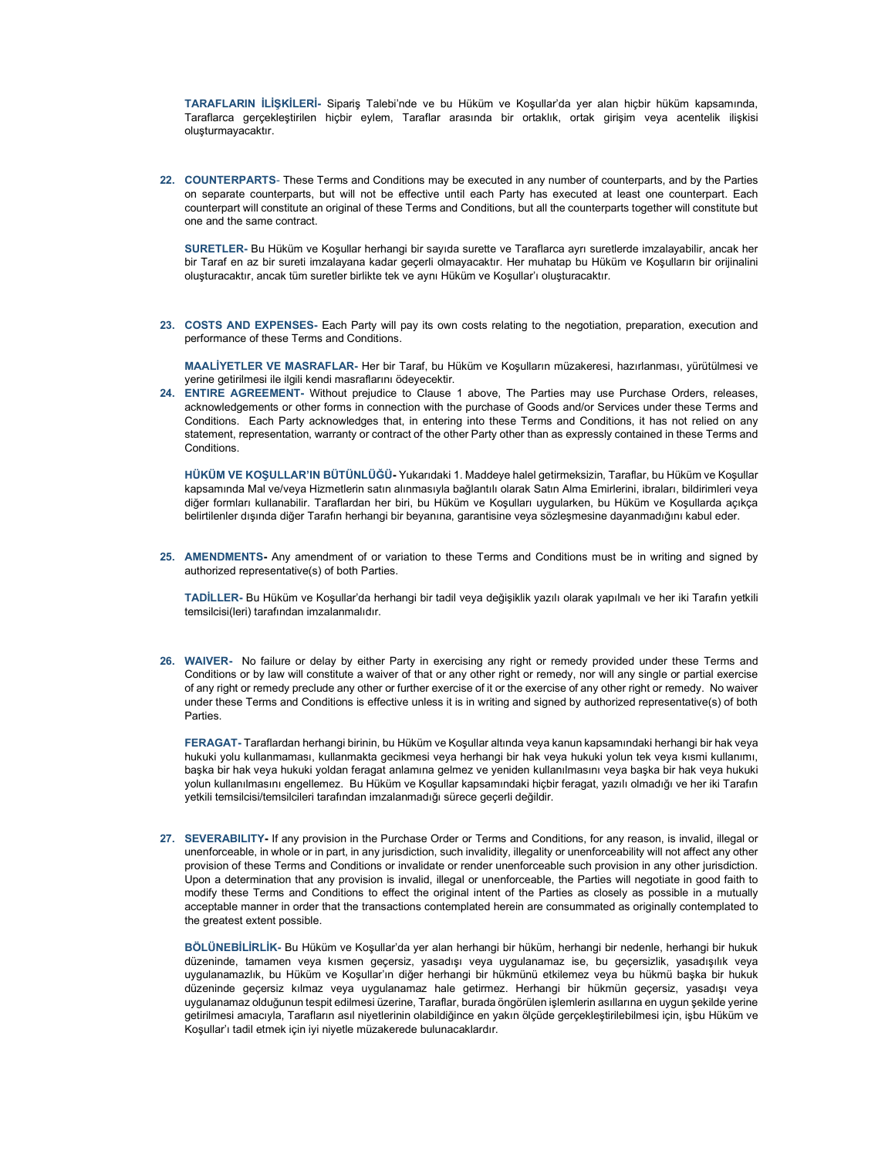TARAFLARIN İLİŞKİLERİ- Sipariş Talebi'nde ve bu Hüküm ve Koşullar'da yer alan hiçbir hüküm kapsamında, Taraflarca gerçekleştirilen hiçbir eylem, Taraflar arasında bir ortaklık, ortak girişim veya acentelik ilişkisi oluşturmayacaktır.

22. COUNTERPARTS- These Terms and Conditions may be executed in any number of counterparts, and by the Parties on separate counterparts, but will not be effective until each Party has executed at least one counterpart. Each counterpart will constitute an original of these Terms and Conditions, but all the counterparts together will constitute but one and the same contract.

SURETLER- Bu Hüküm ve Koşullar herhangi bir sayıda surette ve Taraflarca ayrı suretlerde imzalayabilir, ancak her bir Taraf en az bir sureti imzalayana kadar geçerli olmayacaktır. Her muhatap bu Hüküm ve Koşulların bir orijinalini oluşturacaktır, ancak tüm suretler birlikte tek ve aynı Hüküm ve Koşullar'ı oluşturacaktır.

23. COSTS AND EXPENSES- Each Party will pay its own costs relating to the negotiation, preparation, execution and performance of these Terms and Conditions.

MAALİYETLER VE MASRAFLAR- Her bir Taraf, bu Hüküm ve Koşulların müzakeresi, hazırlanması, yürütülmesi ve yerine getirilmesi ile ilgili kendi masraflarını ödeyecektir.

24. ENTIRE AGREEMENT- Without prejudice to Clause 1 above, The Parties may use Purchase Orders, releases, acknowledgements or other forms in connection with the purchase of Goods and/or Services under these Terms and Conditions. Each Party acknowledges that, in entering into these Terms and Conditions, it has not relied on any statement, representation, warranty or contract of the other Party other than as expressly contained in these Terms and **Conditions** 

HÜKÜM VE KOŞULLAR'IN BÜTÜNLÜĞÜ- Yukarıdaki 1. Maddeye halel getirmeksizin, Taraflar, bu Hüküm ve Koşullar kapsamında Mal ve/veya Hizmetlerin satın alınmasıyla bağlantılı olarak Satın Alma Emirlerini, ibraları, bildirimleri veya diğer formları kullanabilir. Taraflardan her biri, bu Hüküm ve Koşulları uygularken, bu Hüküm ve Koşullarda açıkça belirtilenler dışında diğer Tarafın herhangi bir beyanına, garantisine veya sözleşmesine dayanmadığını kabul eder.

25. AMENDMENTS- Any amendment of or variation to these Terms and Conditions must be in writing and signed by authorized representative(s) of both Parties.

TADİLLER- Bu Hüküm ve Koşullar'da herhangi bir tadil veya değişiklik yazılı olarak yapılmalı ve her iki Tarafın yetkili temsilcisi(leri) tarafından imzalanmalıdır.

26. WAIVER- No failure or delay by either Party in exercising any right or remedy provided under these Terms and Conditions or by law will constitute a waiver of that or any other right or remedy, nor will any single or partial exercise of any right or remedy preclude any other or further exercise of it or the exercise of any other right or remedy. No waiver under these Terms and Conditions is effective unless it is in writing and signed by authorized representative(s) of both **Parties** 

FERAGAT- Taraflardan herhangi birinin, bu Hüküm ve Koşullar altında veya kanun kapsamındaki herhangi bir hak veya hukuki yolu kullanmaması, kullanmakta gecikmesi veya herhangi bir hak veya hukuki yolun tek veya kısmi kullanımı, başka bir hak veya hukuki yoldan feragat anlamına gelmez ve yeniden kullanılmasını veya başka bir hak veya hukuki yolun kullanılmasını engellemez. Bu Hüküm ve Koşullar kapsamındaki hiçbir feragat, yazılı olmadığı ve her iki Tarafın yetkili temsilcisi/temsilcileri tarafından imzalanmadığı sürece geçerli değildir.

27. SEVERABILITY- If any provision in the Purchase Order or Terms and Conditions, for any reason, is invalid, illegal or unenforceable, in whole or in part, in any jurisdiction, such invalidity, illegality or unenforceability will not affect any other provision of these Terms and Conditions or invalidate or render unenforceable such provision in any other jurisdiction. Upon a determination that any provision is invalid, illegal or unenforceable, the Parties will negotiate in good faith to modify these Terms and Conditions to effect the original intent of the Parties as closely as possible in a mutually acceptable manner in order that the transactions contemplated herein are consummated as originally contemplated to the greatest extent possible.

BÖLÜNEBİLİRLİK- Bu Hüküm ve Koşullar'da yer alan herhangi bir hüküm, herhangi bir nedenle, herhangi bir hukuk düzeninde, tamamen veya kısmen geçersiz, yasadışı veya uygulanamaz ise, bu geçersizlik, yasadışılık veya uygulanamazlık, bu Hüküm ve Koşullar'ın diğer herhangi bir hükmünü etkilemez veya bu hükmü başka bir hukuk düzeninde geçersiz kılmaz veya uygulanamaz hale getirmez. Herhangi bir hükmün geçersiz, yasadışı veya uygulanamaz olduğunun tespit edilmesi üzerine, Taraflar, burada öngörülen işlemlerin asıllarına en uygun şekilde yerine getirilmesi amacıyla, Tarafların asıl niyetlerinin olabildiğince en yakın ölçüde gerçekleştirilebilmesi için, işbu Hüküm ve Koşullar'ı tadil etmek için iyi niyetle müzakerede bulunacaklardır.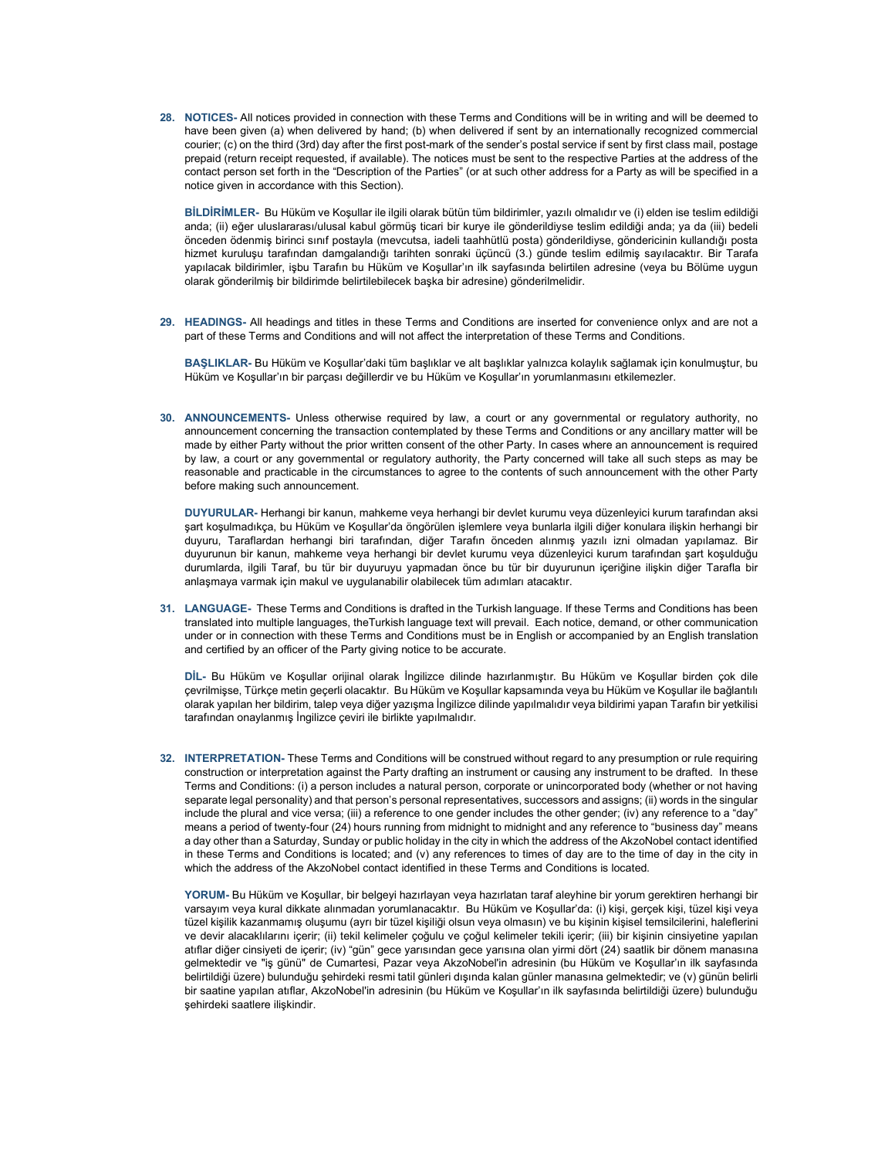28. NOTICES- All notices provided in connection with these Terms and Conditions will be in writing and will be deemed to have been given (a) when delivered by hand; (b) when delivered if sent by an internationally recognized commercial courier; (c) on the third (3rd) day after the first post-mark of the sender's postal service if sent by first class mail, postage prepaid (return receipt requested, if available). The notices must be sent to the respective Parties at the address of the contact person set forth in the "Description of the Parties" (or at such other address for a Party as will be specified in a notice given in accordance with this Section).

BİLDİRİMLER- Bu Hüküm ve Koşullar ile ilgili olarak bütün tüm bildirimler, yazılı olmalıdır ve (i) elden ise teslim edildiği anda; (ii) eğer uluslararası/ulusal kabul görmüş ticari bir kurye ile gönderildiyse teslim edildiği anda; ya da (iii) bedeli önceden ödenmiş birinci sınıf postayla (mevcutsa, iadeli taahhütlü posta) gönderildiyse, göndericinin kullandığı posta hizmet kuruluşu tarafından damgalandığı tarihten sonraki üçüncü (3.) günde teslim edilmiş sayılacaktır. Bir Tarafa yapılacak bildirimler, işbu Tarafın bu Hüküm ve Koşullar'ın ilk sayfasında belirtilen adresine (veya bu Bölüme uygun olarak gönderilmiş bir bildirimde belirtilebilecek başka bir adresine) gönderilmelidir.

29. HEADINGS- All headings and titles in these Terms and Conditions are inserted for convenience onlyx and are not a part of these Terms and Conditions and will not affect the interpretation of these Terms and Conditions.

BAŞLIKLAR- Bu Hüküm ve Koşullar'daki tüm başlıklar ve alt başlıklar yalnızca kolaylık sağlamak için konulmuştur, bu Hüküm ve Koşullar'ın bir parçası değillerdir ve bu Hüküm ve Koşullar'ın yorumlanmasını etkilemezler.

30. ANNOUNCEMENTS- Unless otherwise required by law, a court or any governmental or regulatory authority, no announcement concerning the transaction contemplated by these Terms and Conditions or any ancillary matter will be made by either Party without the prior written consent of the other Party. In cases where an announcement is required by law, a court or any governmental or regulatory authority, the Party concerned will take all such steps as may be reasonable and practicable in the circumstances to agree to the contents of such announcement with the other Party before making such announcement.

DUYURULAR- Herhangi bir kanun, mahkeme veya herhangi bir devlet kurumu veya düzenleyici kurum tarafından aksi şart koşulmadıkça, bu Hüküm ve Koşullar'da öngörülen işlemlere veya bunlarla ilgili diğer konulara ilişkin herhangi bir duyuru, Taraflardan herhangi biri tarafından, diğer Tarafın önceden alınmış yazılı izni olmadan yapılamaz. Bir duyurunun bir kanun, mahkeme veya herhangi bir devlet kurumu veya düzenleyici kurum tarafından şart koşulduğu durumlarda, ilgili Taraf, bu tür bir duyuruyu yapmadan önce bu tür bir duyurunun içeriğine ilişkin diğer Tarafla bir anlaşmaya varmak için makul ve uygulanabilir olabilecek tüm adımları atacaktır.

31. LANGUAGE- These Terms and Conditions is drafted in the Turkish language. If these Terms and Conditions has been translated into multiple languages, theTurkish language text will prevail. Each notice, demand, or other communication under or in connection with these Terms and Conditions must be in English or accompanied by an English translation and certified by an officer of the Party giving notice to be accurate.

DİL- Bu Hüküm ve Koşullar orijinal olarak İngilizce dilinde hazırlanmıştır. Bu Hüküm ve Koşullar birden çok dile çevrilmişse, Türkçe metin geçerli olacaktır. Bu Hüküm ve Koşullar kapsamında veya bu Hüküm ve Koşullar ile bağlantılı olarak yapılan her bildirim, talep veya diğer yazışma İngilizce dilinde yapılmalıdır veya bildirimi yapan Tarafın bir yetkilisi tarafından onaylanmış İngilizce çeviri ile birlikte yapılmalıdır.

32. INTERPRETATION- These Terms and Conditions will be construed without regard to any presumption or rule requiring construction or interpretation against the Party drafting an instrument or causing any instrument to be drafted. In these Terms and Conditions: (i) a person includes a natural person, corporate or unincorporated body (whether or not having separate legal personality) and that person's personal representatives, successors and assigns; (ii) words in the singular include the plural and vice versa; (iii) a reference to one gender includes the other gender; (iv) any reference to a "day" means a period of twenty-four (24) hours running from midnight to midnight and any reference to "business day" means a day other than a Saturday, Sunday or public holiday in the city in which the address of the AkzoNobel contact identified in these Terms and Conditions is located; and (v) any references to times of day are to the time of day in the city in which the address of the AkzoNobel contact identified in these Terms and Conditions is located.

YORUM- Bu Hüküm ve Koşullar, bir belgeyi hazırlayan veya hazırlatan taraf aleyhine bir yorum gerektiren herhangi bir varsayım veya kural dikkate alınmadan yorumlanacaktır. Bu Hüküm ve Koşullar'da: (i) kişi, gerçek kişi, tüzel kişi veya tüzel kişilik kazanmamış oluşumu (ayrı bir tüzel kişiliği olsun veya olmasın) ve bu kişinin kişisel temsilcilerini, haleflerini ve devir alacaklılarını içerir; (ii) tekil kelimeler çoğulu ve çoğul kelimeler tekili içerir; (iii) bir kişinin cinsiyetine yapılan atıflar diğer cinsiyeti de içerir; (iv) "gün" gece yarısından gece yarısına olan yirmi dört (24) saatlik bir dönem manasına gelmektedir ve "iş günü" de Cumartesi, Pazar veya AkzoNobel'in adresinin (bu Hüküm ve Koşullar'ın ilk sayfasında belirtildiği üzere) bulunduğu şehirdeki resmi tatil günleri dışında kalan günler manasına gelmektedir; ve (v) günün belirli bir saatine yapılan atıflar, AkzoNobel'in adresinin (bu Hüküm ve Koşullar'ın ilk sayfasında belirtildiği üzere) bulunduğu şehirdeki saatlere ilişkindir.